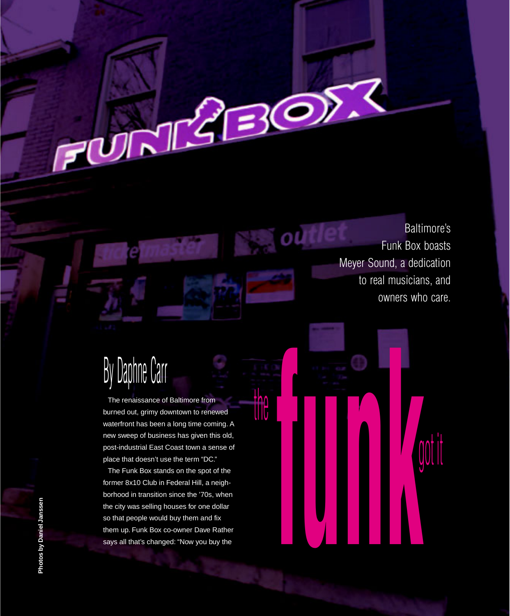Baltimore's Funk Box boasts Meyer Sound, a dedication to real musicians, and owners who care.

 $BOP$ 

٥l

got it

# By Daphne Carr

الماسح

The renaissance of Baltimore from burned out, grimy downtown to renewed waterfront has been a long time coming. A new sweep of business has given this old, post-industrial East Coast town a sense of place that doesn't use the term "DC."

The Funk Box stands on the spot of the former 8x10 Club in Federal Hill, a neighborhood in transition since the '70s, when the city was selling houses for one dollar so that people would buy them and fix them up. Funk Box co-owner Dave Rather burned out, grimy downtown to renewed<br>
waterfront has been a long time coming. A<br>
new sweep of business has given this old,<br>
post-industrial East Coast town a sense of<br>
place that doesn't use the term "DC."<br>
The Funk Box s

Photos by Daniel Janssen **Photos by Daniel Janssen**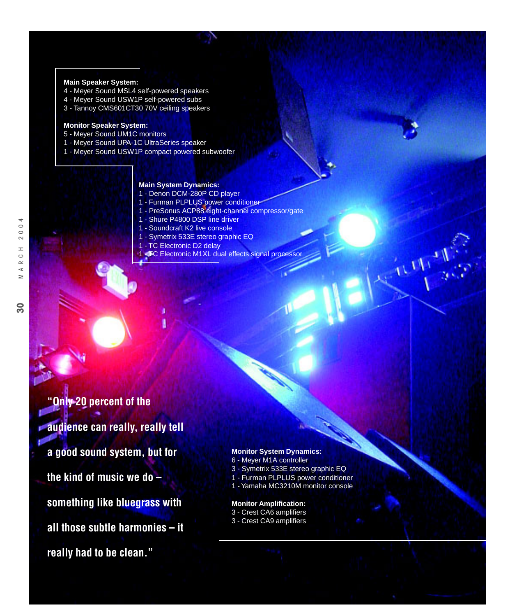#### **Main Speaker System:**

- 4 Meyer Sound MSL4 self-powered speakers
- 4 Meyer Sound USW1P self-powered subs
- 3 Tannoy CMS601CT30 70V ceiling speakers

## **Monitor Speaker System:**

- 5 Meyer Sound UM1C monitors
- 1 Meyer Sound UPA-1C UltraSeries speaker
- 1 Meyer Sound USW1P compact powered subwoofer

## **Main System Dynamics:**

- 1 Denon DCM-280P CD player
- 1 Furman PLPLUS power conditioner 1 - PreSonus ACP88 eight-channel compressor/gate
- 1 Shure P4800 DSP line driver
- 1 Soundcraft K2 live console
- 1 Symetrix 533E stereo graphic EQ
- 1 TC Electronic D2 delay
- **1 EC Electronic M1XL dual effects signal processor**

**"Only 20 percent of the audience can really, really tell a good sound system, but for the kind of music we do – something like bluegrass with all those subtle harmonies – it really had to be clean."**

## **Monitor System Dynamics:**

- 6 Meyer M1A controller
- 3 Symetrix 533E stereo graphic EQ
- 1 Furman PLPLUS power conditioner
- 1 Yamaha MC3210M monitor console

## **Monitor Amplification:**

- 3 Crest CA6 amplifiers
- 3 Crest CA9 amplifiers

 $\overline{30}$ 

 $\overline{a}$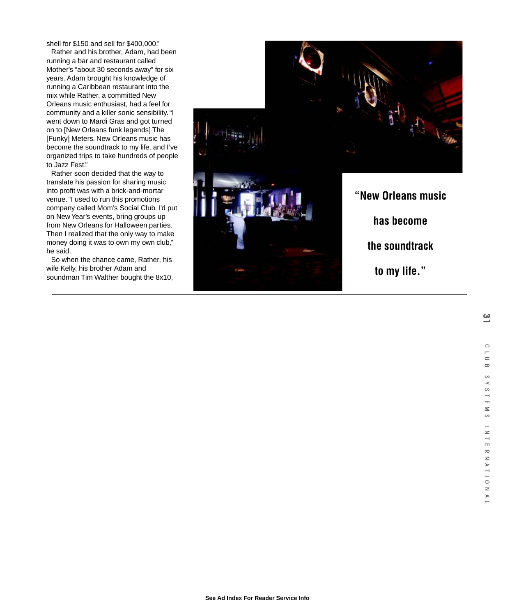shell for \$150 and sell for \$400,000."

Rather and his brother, Adam, had been running a bar and restaurant called Mother's "about 30 seconds away" for six years. Adam brought his knowledge of running a Caribbean restaurant into the mix while Rather, a committed New Orleans music enthusiast, had a feel for community and a killer sonic sensibility. "I went down to Mardi Gras and got turned on to [New Orleans funk legends] The [Funky] Meters. New Orleans music has become the soundtrack to my life, and I've organized trips to take hundreds of people to Jazz Fest."

Rather soon decided that the way to translate his passion for sharing music into profit was with a brick-and-mortar venue. "I used to run this promotions company called Mom's Social Club. I'd put on New Year's events, bring groups up from New Orleans for Halloween parties. Then I realized that the only way to make money doing it was to own my own club," he said.

So when the chance came, Rather, his wife Kelly, his brother Adam and soundman Tim Walther bought the 8x10,

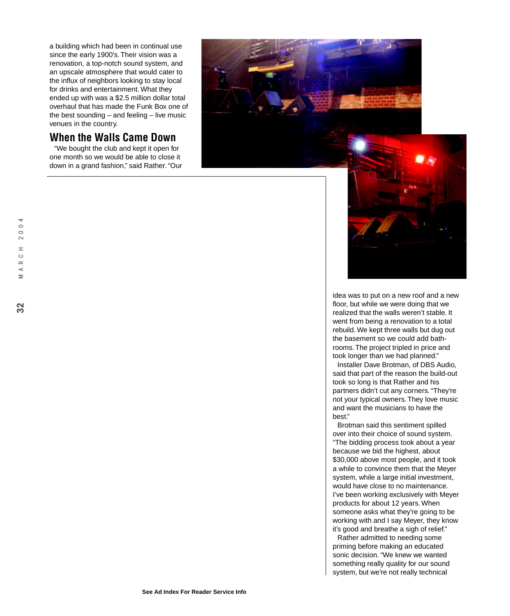a building which had been in continual use since the early 1900's. Their vision was a renovation, a top-notch sound system, and an upscale atmosphere that would cater to the influx of neighbors looking to stay local for drinks and entertainment. What they ended up with was a \$2.5 million dollar total overhaul that has made the Funk Box one of the best sounding – and feeling – live music venues in the country.

# **When the Walls Came Down**

"We bought the club and kept it open for one month so we would be able to close it down in a grand fashion," said Rather. "Our





Installer Dave Brotman, of DBS Audio, said that part of the reason the build-out took so long is that Rather and his partners didn't cut any corners. "They're not your typical owners. They love music and want the musicians to have the hest"

Brotman said this sentiment spilled over into their choice of sound system. "The bidding process took about a year because we bid the highest, about \$30,000 above most people, and it took a while to convince them that the Meyer system, while a large initial investment, would have close to no maintenance. I've been working exclusively with Meyer products for about 12 years. When someone asks what they're going to be working with and I say Meyer, they know it's good and breathe a sigh of relief."

Rather admitted to needing some priming before making an educated sonic decision. "We knew we wanted something really quality for our sound system, but we're not really technical

 $\rightarrow$